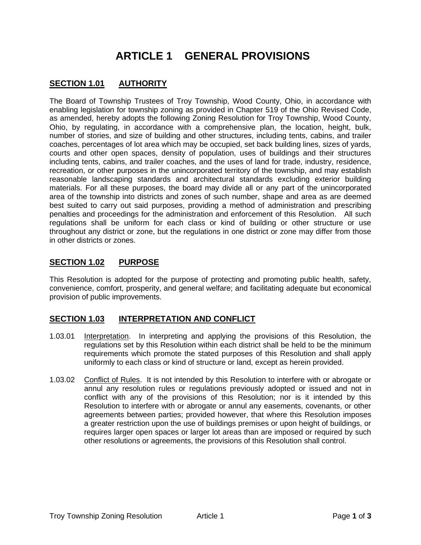# **ARTICLE 1 GENERAL PROVISIONS**

# **SECTION 1.01 AUTHORITY**

The Board of Township Trustees of Troy Township, Wood County, Ohio, in accordance with enabling legislation for township zoning as provided in Chapter 519 of the Ohio Revised Code, as amended, hereby adopts the following Zoning Resolution for Troy Township, Wood County, Ohio, by regulating, in accordance with a comprehensive plan, the location, height, bulk, number of stories, and size of building and other structures, including tents, cabins, and trailer coaches, percentages of lot area which may be occupied, set back building lines, sizes of yards, courts and other open spaces, density of population, uses of buildings and their structures including tents, cabins, and trailer coaches, and the uses of land for trade, industry, residence, recreation, or other purposes in the unincorporated territory of the township, and may establish reasonable landscaping standards and architectural standards excluding exterior building materials. For all these purposes, the board may divide all or any part of the unincorporated area of the township into districts and zones of such number, shape and area as are deemed best suited to carry out said purposes, providing a method of administration and prescribing penalties and proceedings for the administration and enforcement of this Resolution. All such regulations shall be uniform for each class or kind of building or other structure or use throughout any district or zone, but the regulations in one district or zone may differ from those in other districts or zones.

# **SECTION 1.02 PURPOSE**

This Resolution is adopted for the purpose of protecting and promoting public health, safety, convenience, comfort, prosperity, and general welfare; and facilitating adequate but economical provision of public improvements.

## **SECTION 1.03 INTERPRETATION AND CONFLICT**

- 1.03.01 Interpretation. In interpreting and applying the provisions of this Resolution, the regulations set by this Resolution within each district shall be held to be the minimum requirements which promote the stated purposes of this Resolution and shall apply uniformly to each class or kind of structure or land, except as herein provided.
- 1.03.02 Conflict of Rules. It is not intended by this Resolution to interfere with or abrogate or annul any resolution rules or regulations previously adopted or issued and not in conflict with any of the provisions of this Resolution; nor is it intended by this Resolution to interfere with or abrogate or annul any easements, covenants, or other agreements between parties; provided however, that where this Resolution imposes a greater restriction upon the use of buildings premises or upon height of buildings, or requires larger open spaces or larger lot areas than are imposed or required by such other resolutions or agreements, the provisions of this Resolution shall control.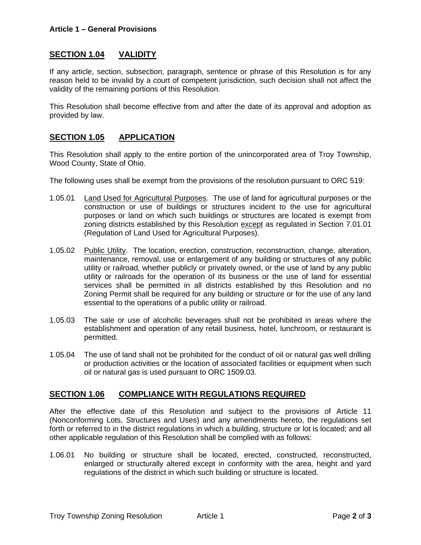## **SECTION 1.04 VALIDITY**

If any article, section, subsection, paragraph, sentence or phrase of this Resolution is for any reason held to be invalid by a court of competent jurisdiction, such decision shall not affect the validity of the remaining portions of this Resolution.

This Resolution shall become effective from and after the date of its approval and adoption as provided by law.

### **SECTION 1.05 APPLICATION**

This Resolution shall apply to the entire portion of the unincorporated area of Troy Township, Wood County, State of Ohio.

The following uses shall be exempt from the provisions of the resolution pursuant to ORC 519:

- 1.05.01 Land Used for Agricultural Purposes. The use of land for agricultural purposes or the construction or use of buildings or structures incident to the use for agricultural purposes or land on which such buildings or structures are located is exempt from zoning districts established by this Resolution except as regulated in Section 7.01.01 (Regulation of Land Used for Agricultural Purposes).
- 1.05.02 Public Utility. The location, erection, construction, reconstruction, change, alteration, maintenance, removal, use or enlargement of any building or structures of any public utility or railroad, whether publicly or privately owned, or the use of land by any public utility or railroads for the operation of its business or the use of land for essential services shall be permitted in all districts established by this Resolution and no Zoning Permit shall be required for any building or structure or for the use of any land essential to the operations of a public utility or railroad.
- 1.05.03 The sale or use of alcoholic beverages shall not be prohibited in areas where the establishment and operation of any retail business, hotel, lunchroom, or restaurant is permitted.
- 1.05.04 The use of land shall not be prohibited for the conduct of oil or natural gas well drilling or production activities or the location of associated facilities or equipment when such oil or natural gas is used pursuant to ORC 1509.03.

### **SECTION 1.06 COMPLIANCE WITH REGULATIONS REQUIRED**

After the effective date of this Resolution and subject to the provisions of Article 11 (Nonconforming Lots, Structures and Uses) and any amendments hereto, the regulations set forth or referred to in the district regulations in which a building, structure or lot is located; and all other applicable regulation of this Resolution shall be complied with as follows:

1.06.01 No building or structure shall be located, erected, constructed, reconstructed, enlarged or structurally altered except in conformity with the area, height and yard regulations of the district in which such building or structure is located.